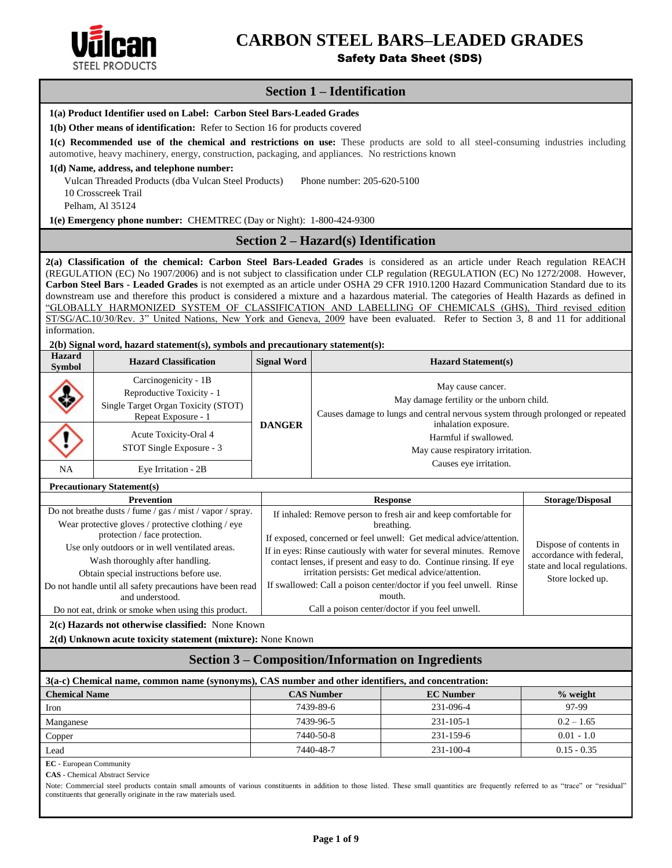

# **CARBON STEEL BARS–LEADED GRADES**

Safety Data Sheet (SDS)

# **Section 1 – Identification**

|                                                                                                                                                                                                                                          | 1(a) Product Identifier used on Label: Carbon Steel Bars-Leaded Grades              |                    |                                                                                                                                                                                                                                                                          |                              |  |  |  |
|------------------------------------------------------------------------------------------------------------------------------------------------------------------------------------------------------------------------------------------|-------------------------------------------------------------------------------------|--------------------|--------------------------------------------------------------------------------------------------------------------------------------------------------------------------------------------------------------------------------------------------------------------------|------------------------------|--|--|--|
| 1(b) Other means of identification: Refer to Section 16 for products covered                                                                                                                                                             |                                                                                     |                    |                                                                                                                                                                                                                                                                          |                              |  |  |  |
| 1(c) Recommended use of the chemical and restrictions on use: These products are sold to all steel-consuming industries including<br>automotive, heavy machinery, energy, construction, packaging, and appliances. No restrictions known |                                                                                     |                    |                                                                                                                                                                                                                                                                          |                              |  |  |  |
|                                                                                                                                                                                                                                          | 1(d) Name, address, and telephone number:                                           |                    |                                                                                                                                                                                                                                                                          |                              |  |  |  |
|                                                                                                                                                                                                                                          | Vulcan Threaded Products (dba Vulcan Steel Products)                                |                    | Phone number: 205-620-5100                                                                                                                                                                                                                                               |                              |  |  |  |
|                                                                                                                                                                                                                                          | 10 Crosscreek Trail                                                                 |                    |                                                                                                                                                                                                                                                                          |                              |  |  |  |
|                                                                                                                                                                                                                                          | Pelham, Al 35124                                                                    |                    |                                                                                                                                                                                                                                                                          |                              |  |  |  |
|                                                                                                                                                                                                                                          | 1(e) Emergency phone number: CHEMTREC (Day or Night): 1-800-424-9300                |                    |                                                                                                                                                                                                                                                                          |                              |  |  |  |
|                                                                                                                                                                                                                                          |                                                                                     |                    | Section 2 – Hazard(s) Identification                                                                                                                                                                                                                                     |                              |  |  |  |
|                                                                                                                                                                                                                                          |                                                                                     |                    | 2(a) Classification of the chemical: Carbon Steel Bars-Leaded Grades is considered as an article under Reach regulation REACH                                                                                                                                            |                              |  |  |  |
|                                                                                                                                                                                                                                          |                                                                                     |                    | (REGULATION (EC) No 1907/2006) and is not subject to classification under CLP regulation (REGULATION (EC) No 1272/2008. However,<br>Carbon Steel Bars - Leaded Grades is not exempted as an article under OSHA 29 CFR 1910.1200 Hazard Communication Standard due to its |                              |  |  |  |
|                                                                                                                                                                                                                                          |                                                                                     |                    | downstream use and therefore this product is considered a mixture and a hazardous material. The categories of Health Hazards as defined in                                                                                                                               |                              |  |  |  |
|                                                                                                                                                                                                                                          |                                                                                     |                    | "GLOBALLY HARMONIZED SYSTEM OF CLASSIFICATION AND LABELLING OF CHEMICALS (GHS), Third revised edition                                                                                                                                                                    |                              |  |  |  |
|                                                                                                                                                                                                                                          |                                                                                     |                    | ST/SG/AC.10/30/Rev. 3" United Nations, New York and Geneva, 2009 have been evaluated. Refer to Section 3, 8 and 11 for additional                                                                                                                                        |                              |  |  |  |
| information.                                                                                                                                                                                                                             |                                                                                     |                    |                                                                                                                                                                                                                                                                          |                              |  |  |  |
| <b>Hazard</b>                                                                                                                                                                                                                            | 2(b) Signal word, hazard statement(s), symbols and precautionary statement(s):      |                    |                                                                                                                                                                                                                                                                          |                              |  |  |  |
| <b>Symbol</b>                                                                                                                                                                                                                            | <b>Hazard Classification</b>                                                        | <b>Signal Word</b> | <b>Hazard Statement(s)</b>                                                                                                                                                                                                                                               |                              |  |  |  |
|                                                                                                                                                                                                                                          | Carcinogenicity - 1B                                                                |                    | May cause cancer.                                                                                                                                                                                                                                                        |                              |  |  |  |
|                                                                                                                                                                                                                                          | Reproductive Toxicity - 1                                                           |                    | May damage fertility or the unborn child.                                                                                                                                                                                                                                |                              |  |  |  |
|                                                                                                                                                                                                                                          | Single Target Organ Toxicity (STOT)<br>Repeat Exposure - 1                          |                    | Causes damage to lungs and central nervous system through prolonged or repeated                                                                                                                                                                                          |                              |  |  |  |
|                                                                                                                                                                                                                                          |                                                                                     | <b>DANGER</b>      | inhalation exposure.                                                                                                                                                                                                                                                     |                              |  |  |  |
|                                                                                                                                                                                                                                          | Acute Toxicity-Oral 4                                                               |                    | Harmful if swallowed.                                                                                                                                                                                                                                                    |                              |  |  |  |
|                                                                                                                                                                                                                                          | STOT Single Exposure - 3                                                            |                    | May cause respiratory irritation.                                                                                                                                                                                                                                        |                              |  |  |  |
| NA                                                                                                                                                                                                                                       | Eye Irritation - 2B                                                                 |                    | Causes eye irritation.                                                                                                                                                                                                                                                   |                              |  |  |  |
|                                                                                                                                                                                                                                          | <b>Precautionary Statement(s)</b>                                                   |                    |                                                                                                                                                                                                                                                                          |                              |  |  |  |
|                                                                                                                                                                                                                                          | <b>Prevention</b>                                                                   |                    | <b>Response</b>                                                                                                                                                                                                                                                          | <b>Storage/Disposal</b>      |  |  |  |
|                                                                                                                                                                                                                                          | Do not breathe dusts / fume / gas / mist / vapor / spray.                           |                    | If inhaled: Remove person to fresh air and keep comfortable for                                                                                                                                                                                                          |                              |  |  |  |
|                                                                                                                                                                                                                                          | Wear protective gloves / protective clothing / eye<br>protection / face protection. |                    | breathing.                                                                                                                                                                                                                                                               |                              |  |  |  |
|                                                                                                                                                                                                                                          | Use only outdoors or in well ventilated areas.                                      |                    | If exposed, concerned or feel unwell: Get medical advice/attention.<br>Dispose of contents in                                                                                                                                                                            |                              |  |  |  |
|                                                                                                                                                                                                                                          | Wash thoroughly after handling.                                                     |                    | If in eyes: Rinse cautiously with water for several minutes. Remove<br>accordance with federal,<br>contact lenses, if present and easy to do. Continue rinsing. If eye                                                                                                   |                              |  |  |  |
|                                                                                                                                                                                                                                          | Obtain special instructions before use.                                             |                    | irritation persists: Get medical advice/attention.                                                                                                                                                                                                                       | state and local regulations. |  |  |  |
|                                                                                                                                                                                                                                          | Do not handle until all safety precautions have been read                           |                    | If swallowed: Call a poison center/doctor if you feel unwell. Rinse                                                                                                                                                                                                      | Store locked up.             |  |  |  |
|                                                                                                                                                                                                                                          | and understood.                                                                     |                    | mouth.                                                                                                                                                                                                                                                                   |                              |  |  |  |
|                                                                                                                                                                                                                                          | Do not eat, drink or smoke when using this product.                                 |                    | Call a poison center/doctor if you feel unwell.                                                                                                                                                                                                                          |                              |  |  |  |
|                                                                                                                                                                                                                                          | 2(c) Hazards not otherwise classified: None Known                                   |                    |                                                                                                                                                                                                                                                                          |                              |  |  |  |
|                                                                                                                                                                                                                                          | 2(d) Unknown acute toxicity statement (mixture): None Known                         |                    |                                                                                                                                                                                                                                                                          |                              |  |  |  |
|                                                                                                                                                                                                                                          |                                                                                     |                    | <b>Section 3 – Composition/Information on Ingredients</b>                                                                                                                                                                                                                |                              |  |  |  |
|                                                                                                                                                                                                                                          |                                                                                     |                    | 3(a-c) Chemical name, common name (synonyms), CAS number and other identifiers, and concentration:                                                                                                                                                                       |                              |  |  |  |
| <b>Chemical Name</b>                                                                                                                                                                                                                     |                                                                                     |                    | <b>CAS Number</b><br><b>EC</b> Number                                                                                                                                                                                                                                    | $%$ weight                   |  |  |  |
| Iron                                                                                                                                                                                                                                     |                                                                                     |                    | 7439-89-6<br>231-096-4                                                                                                                                                                                                                                                   | 97-99                        |  |  |  |
| Manganese                                                                                                                                                                                                                                |                                                                                     |                    | 7439-96-5<br>231-105-1                                                                                                                                                                                                                                                   | $0.2 - 1.65$                 |  |  |  |
| Copper                                                                                                                                                                                                                                   |                                                                                     |                    | 7440-50-8<br>231-159-6                                                                                                                                                                                                                                                   | $0.01 - 1.0$                 |  |  |  |
| Lead                                                                                                                                                                                                                                     |                                                                                     |                    | 7440-48-7<br>231-100-4                                                                                                                                                                                                                                                   | $0.15 - 0.35$                |  |  |  |
| <b>EC</b> - European Community                                                                                                                                                                                                           | <b>CAS</b> - Chemical Abstract Service                                              |                    |                                                                                                                                                                                                                                                                          |                              |  |  |  |
|                                                                                                                                                                                                                                          |                                                                                     |                    | Note: Commercial steel products contain small amounts of various constituents in addition to those listed. These small quantities are frequently referred to as "trace" or "residual"                                                                                    |                              |  |  |  |
|                                                                                                                                                                                                                                          | constituents that generally originate in the raw materials used.                    |                    |                                                                                                                                                                                                                                                                          |                              |  |  |  |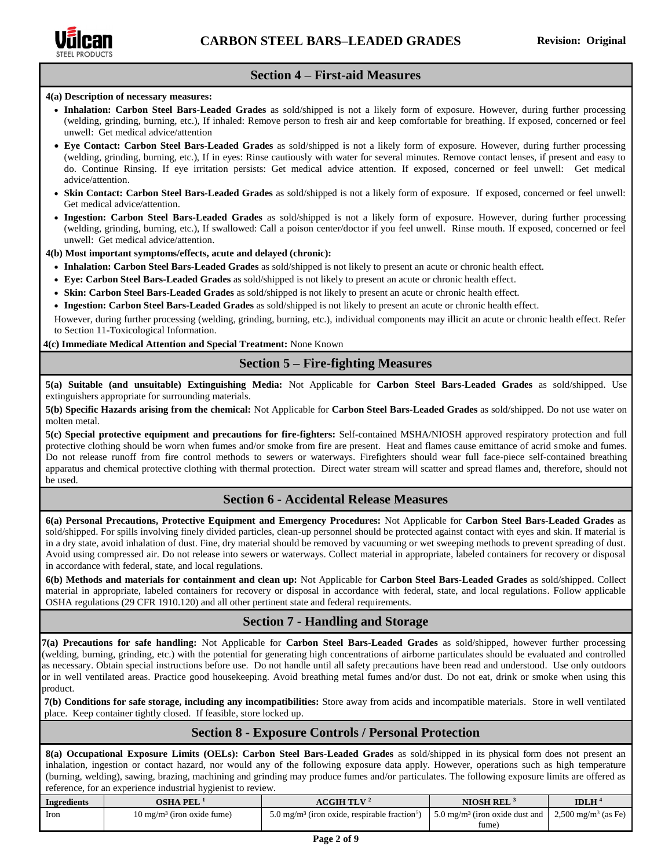

#### **Section 4 – First-aid Measures**

#### **4(a) Description of necessary measures:**

- **Inhalation: Carbon Steel Bars-Leaded Grades** as sold/shipped is not a likely form of exposure. However, during further processing (welding, grinding, burning, etc.), If inhaled: Remove person to fresh air and keep comfortable for breathing. If exposed, concerned or feel unwell: Get medical advice/attention
- **Eye Contact: Carbon Steel Bars-Leaded Grades** as sold/shipped is not a likely form of exposure. However, during further processing (welding, grinding, burning, etc.), If in eyes: Rinse cautiously with water for several minutes. Remove contact lenses, if present and easy to do. Continue Rinsing. If eye irritation persists: Get medical advice attention. If exposed, concerned or feel unwell: Get medical advice/attention.
- **Skin Contact: Carbon Steel Bars-Leaded Grades** as sold/shipped is not a likely form of exposure. If exposed, concerned or feel unwell: Get medical advice/attention.
- **Ingestion: Carbon Steel Bars-Leaded Grades** as sold/shipped is not a likely form of exposure. However, during further processing (welding, grinding, burning, etc.), If swallowed: Call a poison center/doctor if you feel unwell. Rinse mouth. If exposed, concerned or feel unwell: Get medical advice/attention.

#### **4(b) Most important symptoms/effects, acute and delayed (chronic):**

- **Inhalation: Carbon Steel Bars-Leaded Grades** as sold/shipped is not likely to present an acute or chronic health effect.
- **Eye: Carbon Steel Bars-Leaded Grades** as sold/shipped is not likely to present an acute or chronic health effect.
- **Skin: Carbon Steel Bars-Leaded Grades** as sold/shipped is not likely to present an acute or chronic health effect.
- **Ingestion: Carbon Steel Bars-Leaded Grades** as sold/shipped is not likely to present an acute or chronic health effect.

However, during further processing (welding, grinding, burning, etc.), individual components may illicit an acute or chronic health effect. Refer to Section 11-Toxicological Information.

**4(c) Immediate Medical Attention and Special Treatment:** None Known

#### **Section 5 – Fire-fighting Measures**

**5(a) Suitable (and unsuitable) Extinguishing Media:** Not Applicable for **Carbon Steel Bars-Leaded Grades** as sold/shipped. Use extinguishers appropriate for surrounding materials.

**5(b) Specific Hazards arising from the chemical:** Not Applicable for **Carbon Steel Bars-Leaded Grades** as sold/shipped. Do not use water on molten metal.

**5(c) Special protective equipment and precautions for fire-fighters:** Self-contained MSHA/NIOSH approved respiratory protection and full protective clothing should be worn when fumes and/or smoke from fire are present. Heat and flames cause emittance of acrid smoke and fumes. Do not release runoff from fire control methods to sewers or waterways. Firefighters should wear full face-piece self-contained breathing apparatus and chemical protective clothing with thermal protection. Direct water stream will scatter and spread flames and, therefore, should not be used.

# **Section 6 - Accidental Release Measures**

**6(a) Personal Precautions, Protective Equipment and Emergency Procedures:** Not Applicable for **Carbon Steel Bars-Leaded Grades** as sold/shipped. For spills involving finely divided particles, clean-up personnel should be protected against contact with eyes and skin. If material is in a dry state, avoid inhalation of dust. Fine, dry material should be removed by vacuuming or wet sweeping methods to prevent spreading of dust. Avoid using compressed air. Do not release into sewers or waterways. Collect material in appropriate, labeled containers for recovery or disposal in accordance with federal, state, and local regulations.

**6(b) Methods and materials for containment and clean up:** Not Applicable for **Carbon Steel Bars-Leaded Grades** as sold/shipped. Collect material in appropriate, labeled containers for recovery or disposal in accordance with federal, state, and local regulations. Follow applicable OSHA regulations (29 CFR 1910.120) and all other pertinent state and federal requirements.

# **Section 7 - Handling and Storage**

**7(a) Precautions for safe handling:** Not Applicable for **Carbon Steel Bars-Leaded Grades** as sold/shipped, however further processing (welding, burning, grinding, etc.) with the potential for generating high concentrations of airborne particulates should be evaluated and controlled as necessary. Obtain special instructions before use. Do not handle until all safety precautions have been read and understood. Use only outdoors or in well ventilated areas. Practice good housekeeping. Avoid breathing metal fumes and/or dust. Do not eat, drink or smoke when using this product.

**7(b) Conditions for safe storage, including any incompatibilities:** Store away from acids and incompatible materials. Store in well ventilated place. Keep container tightly closed. If feasible, store locked up.

# **Section 8 - Exposure Controls / Personal Protection**

**8(a) Occupational Exposure Limits (OELs): Carbon Steel Bars-Leaded Grades** as sold/shipped in its physical form does not present an inhalation, ingestion or contact hazard, nor would any of the following exposure data apply. However, operations such as high temperature (burning, welding), sawing, brazing, machining and grinding may produce fumes and/or particulates. The following exposure limits are offered as reference, for an experience industrial hygienist to review.

| <b>Ingredients</b> | OSHA PEL                              | ACGIH TLV $^2$                                                        | <b>NIOSH REL</b>                                         | <b>IDLH</b>                     |
|--------------------|---------------------------------------|-----------------------------------------------------------------------|----------------------------------------------------------|---------------------------------|
| Iron               | $10 \text{ mg/m}^3$ (iron oxide fume) | 5.0 mg/m <sup>3</sup> (iron oxide, respirable fraction <sup>5</sup> ) | $\frac{1}{2}$ 5.0 mg/m <sup>3</sup> (iron oxide dust and | 2,500 mg/m <sup>3</sup> (as Fe) |
|                    |                                       |                                                                       | fume)                                                    |                                 |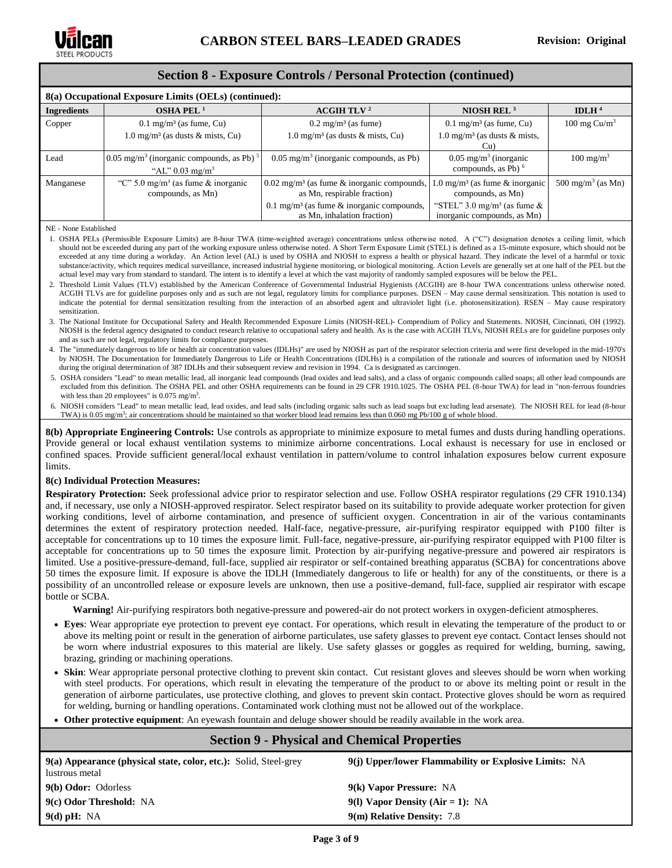

#### **Section 8 - Exposure Controls / Personal Protection (continued)**

| 8(a) Occupational Exposure Limits (OELs) (continued): |                                                                                                  |                                                                                            |                                                                          |                              |  |  |
|-------------------------------------------------------|--------------------------------------------------------------------------------------------------|--------------------------------------------------------------------------------------------|--------------------------------------------------------------------------|------------------------------|--|--|
| <b>Ingredients</b>                                    | OSHA PEL $1$                                                                                     | ACGIH TLV <sup>2</sup>                                                                     | NIOSH REL $3$                                                            | IDLH $4$                     |  |  |
| Copper                                                | $0.1 \text{ mg/m}^3$ (as fume, Cu)                                                               | $0.2 \text{ mg/m}^3$ (as fume)                                                             | $0.1 \text{ mg/m}^3$ (as fume, Cu)                                       | 100 mg $Cu/m3$               |  |  |
|                                                       | $1.0 \text{ mg/m}^3$ (as dusts & mists, Cu)                                                      | $1.0 \text{ mg/m}^3$ (as dusts & mists, Cu)                                                | 1.0 mg/m <sup>3</sup> (as dusts $\&$ mists,<br>Cu)                       |                              |  |  |
| Lead                                                  | $0.05$ mg/m <sup>3</sup> (inorganic compounds, as Pb) <sup>5</sup><br>"AL" $0.03 \text{ mg/m}^3$ | $0.05$ mg/m <sup>3</sup> (inorganic compounds, as Pb)                                      | $0.05$ mg/m <sup>3</sup> (inorganic<br>compounds, as Pb) $6$             | $100 \text{ mg/m}^3$         |  |  |
| Manganese                                             | "C" 5.0 mg/m <sup>3</sup> (as fume $\&$ inorganic<br>compounds, as Mn)                           | $0.02$ mg/m <sup>3</sup> (as fume $\&$ inorganic compounds,<br>as Mn, respirable fraction) | $1.0 \text{ mg/m}^3$ (as fume & inorganic<br>compounds, as Mn)           | $500 \text{ mg/m}^3$ (as Mn) |  |  |
|                                                       |                                                                                                  | 0.1 mg/m <sup>3</sup> (as fume $\&$ inorganic compounds,<br>as Mn, inhalation fraction)    | "STEL" $3.0 \text{ mg/m}^3$ (as fume $\&$<br>inorganic compounds, as Mn) |                              |  |  |

NE - None Established

1. OSHA PELs (Permissible Exposure Limits) are 8-hour TWA (time-weighted average) concentrations unless otherwise noted. A ("C") designation denotes a ceiling limit, which should not be exceeded during any part of the working exposure unless otherwise noted. A Short Term Exposure Limit (STEL) is defined as a 15-minute exposure, which should not be exceeded at any time during a workday. An Action level (AL) is used by [OSHA](http://www.ilpi.com/msds/ref/osha.html) and [NIOSH](http://www.ilpi.com/msds/ref/niosh.html) to express a health or physical hazard. They indicate the level of a harmful or toxic substance/activity, which requires medical surveillance, increased industrial hygiene monitoring, or biological monitoring. Action Levels are generally set at one half of the PEL but the actual level may vary from standard to standard. The intent is to identify a level at which the vast majority of randomly sampled exposures will be below the PEL.

- 2. Threshold Limit Values (TLV) established by the American Conference of Governmental Industrial Hygienists (ACGIH) are 8-hour TWA concentrations unless otherwise noted. ACGIH TLVs are for guideline purposes only and as such are not legal, regulatory limits for compliance purposes. DSEN – May cause dermal sensitization. This notation is used to indicate the potential for dermal sensitization resulting from the interaction of an absorbed agent and ultraviolet light (i.e. photosensitization). RSEN – May cause respiratory sensitization.
- 3. The National Institute for Occupational Safety and Health Recommended Exposure Limits (NIOSH-REL)- Compendium of Policy and Statements. NIOSH, Cincinnati, OH (1992). NIOSH is the federal agency designated to conduct research relative to occupational safety and health. As is the case with ACGIH TLVs, NIOSH RELs are for guideline purposes only and as such are not legal, regulatory limits for compliance purposes.
- 4. The "immediately dangerous to life or health air concentration values (IDLHs)" are used by NIOSH as part of the respirator selection criteria and were first developed in the mid-1970's by NIOSH. The Documentation for Immediately Dangerous to Life or Health Concentrations (IDLHs) is a compilation of the rationale and sources of information used by NIOSH during the original determination of 387 IDLHs and their subsequent review and revision in 1994. Ca is designated as carcinogen.
- 5. OSHA considers "Lead" to mean metallic lead, all inorganic lead compounds (lead oxides and lead salts), and a class of organic compounds called soaps; all other lead compounds are excluded from this definition. The OSHA PEL and other OSHA requirements can be found in 29 CFR 1910.1025. The OSHA PEL (8-hour TWA) for lead in "non-ferrous foundries with less than 20 employees" is  $0.075$  mg/m<sup>3</sup>.
- 6. NIOSH considers "Lead" to mean metallic lead, lead oxides, and lead salts (including organic salts such as lead soaps but excluding lead arsenate). The NIOSH REL for lead (8-hour TWA) is 0.05 mg/m<sup>3</sup>; air concentrations should be maintained so that worker blood lead remains less than 0.060 mg Pb/100 g of whole blood.

**8(b) Appropriate Engineering Controls:** Use controls as appropriate to minimize exposure to metal fumes and dusts during handling operations. Provide general or local exhaust ventilation systems to minimize airborne concentrations. Local exhaust is necessary for use in enclosed or confined spaces. Provide sufficient general/local exhaust ventilation in pattern/volume to control inhalation exposures below current exposure limits.

#### **8(c) Individual Protection Measures:**

**Respiratory Protection:** Seek professional advice prior to respirator selection and use. Follow OSHA respirator regulations (29 CFR 1910.134) and, if necessary, use only a NIOSH-approved respirator. Select respirator based on its suitability to provide adequate worker protection for given working conditions, level of airborne contamination, and presence of sufficient oxygen. Concentration in air of the various contaminants determines the extent of respiratory protection needed. Half-face, negative-pressure, air-purifying respirator equipped with P100 filter is acceptable for concentrations up to 10 times the exposure limit. Full-face, negative-pressure, air-purifying respirator equipped with P100 filter is acceptable for concentrations up to 50 times the exposure limit. Protection by air-purifying negative-pressure and powered air respirators is limited. Use a positive-pressure-demand, full-face, supplied air respirator or self-contained breathing apparatus (SCBA) for concentrations above 50 times the exposure limit. If exposure is above the IDLH (Immediately dangerous to life or health) for any of the constituents, or there is a possibility of an uncontrolled release or exposure levels are unknown, then use a positive-demand, full-face, supplied air respirator with escape bottle or SCBA.

**Warning!** Air-purifying respirators both negative-pressure and powered-air do not protect workers in oxygen-deficient atmospheres.

- **Eyes**: Wear appropriate eye protection to prevent eye contact. For operations, which result in elevating the temperature of the product to or above its melting point or result in the generation of airborne particulates, use safety glasses to prevent eye contact. Contact lenses should not be worn where industrial exposures to this material are likely. Use safety glasses or goggles as required for welding, burning, sawing, brazing, grinding or machining operations.
- **Skin**: Wear appropriate personal protective clothing to prevent skin contact. Cut resistant gloves and sleeves should be worn when working with steel products. For operations, which result in elevating the temperature of the product to or above its melting point or result in the generation of airborne particulates, use protective clothing, and gloves to prevent skin contact. Protective gloves should be worn as required for welding, burning or handling operations. Contaminated work clothing must not be allowed out of the workplace.

• **Other protective equipment**: An eyewash fountain and deluge shower should be readily available in the work area.

# **Section 9 - Physical and Chemical Properties**

| 9(a) Appearance (physical state, color, etc.): Solid, Steel-grey<br>lustrous metal | 9(i) Upper/lower Flammability or Explosive Limits: NA |
|------------------------------------------------------------------------------------|-------------------------------------------------------|
| 9(b) Odor: Odorless                                                                | 9(k) Vapor Pressure: NA                               |
| 9(c) Odor Threshold: NA                                                            | 9(1) Vapor Density (Air = 1): NA                      |
| $9(d)$ pH: NA                                                                      | 9(m) Relative Density: 7.8                            |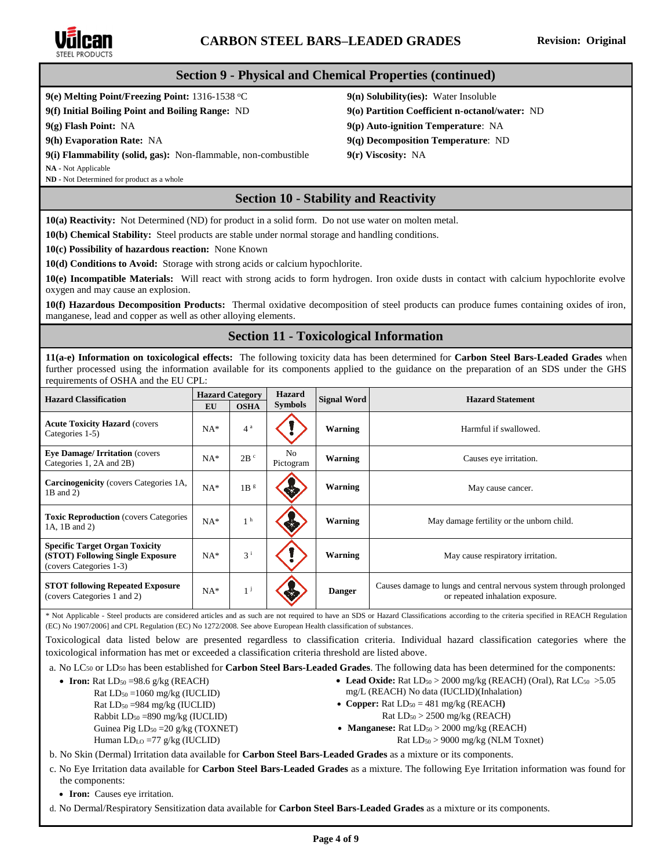

# **CARBON STEEL BARS–LEADED GRADES Revision: Original**

#### **Section 9 - Physical and Chemical Properties (continued)**

# **9(e) Melting Point/Freezing Point:** 1316-1538 °C **9(n) Solubility(ies):** Water Insoluble

**9(f) Initial Boiling Point and Boiling Range:** ND **9(o) Partition Coefficient n-octanol/water:** ND

**9(g) Flash Point:** NA **9(p) Auto-ignition Temperature**: NA

**9(h) Evaporation Rate:** NA **9(q) Decomposition Temperature**: ND

**9(i) Flammability (solid, gas):** Non-flammable, non-combustible **9(r) Viscosity:** NA

**NA -** Not Applicable

**ND -** Not Determined for product as a whole

# **Section 10 - Stability and Reactivity**

**10(a) Reactivity:** Not Determined (ND) for product in a solid form. Do not use water on molten metal.

**10(b) Chemical Stability:** Steel products are stable under normal storage and handling conditions.

**10(c) Possibility of hazardous reaction:** None Known

**10(d) Conditions to Avoid:** Storage with strong acids or calcium hypochlorite.

**10(e) Incompatible Materials:** Will react with strong acids to form hydrogen. Iron oxide dusts in contact with calcium hypochlorite evolve oxygen and may cause an explosion.

**10(f) Hazardous Decomposition Products:** Thermal oxidative decomposition of steel products can produce fumes containing oxides of iron, manganese, lead and copper as well as other alloying elements.

# **Section 11 - Toxicological Information**

**11(a-e) Information on toxicological effects:** The following toxicity data has been determined for **Carbon Steel Bars-Leaded Grades** when further processed using the information available for its components applied to the guidance on the preparation of an SDS under the GHS requirements of OSHA and the EU CPL:

| <b>Hazard Classification</b>                                                                         | <b>Hazard Category</b><br><b>Hazard</b><br><b>Symbols</b><br><b>OSHA</b><br>EU |                 | <b>Signal Word</b> | <b>Hazard Statement</b> |                                                                                                         |
|------------------------------------------------------------------------------------------------------|--------------------------------------------------------------------------------|-----------------|--------------------|-------------------------|---------------------------------------------------------------------------------------------------------|
| <b>Acute Toxicity Hazard (covers)</b><br>Categories 1-5)                                             | $NA*$                                                                          | 4 <sup>a</sup>  |                    | Warning                 | Harmful if swallowed.                                                                                   |
| <b>Eye Damage/Irritation (covers)</b><br>Categories 1, 2A and 2B)                                    | $NA*$                                                                          | 2B <sup>c</sup> | No<br>Pictogram    | Warning                 | Causes eye irritation.                                                                                  |
| <b>Carcinogenicity</b> (covers Categories 1A,<br>1B and 2)                                           | $NA*$                                                                          | 1B <sup>g</sup> |                    | Warning                 | May cause cancer.                                                                                       |
| <b>Toxic Reproduction</b> (covers Categories)<br>1A, 1B and 2)                                       | $NA*$                                                                          | 1 <sup>h</sup>  |                    | Warning                 | May damage fertility or the unborn child.                                                               |
| <b>Specific Target Organ Toxicity</b><br>(STOT) Following Single Exposure<br>(covers Categories 1-3) | $NA*$                                                                          | 3 <sup>i</sup>  |                    | Warning                 | May cause respiratory irritation.                                                                       |
| <b>STOT following Repeated Exposure</b><br>(covers Categories 1 and 2)                               | $NA*$                                                                          | 1 <sup>j</sup>  |                    | <b>Danger</b>           | Causes damage to lungs and central nervous system through prolonged<br>or repeated inhalation exposure. |

\* Not Applicable - Steel products are considered articles and as such are not required to have an SDS or Hazard Classifications according to the criteria specified in REACH Regulation (EC) No 1907/2006] and CPL Regulation (EC) No 1272/2008. See above European Health classification of substances.

Toxicological data listed below are presented regardless to classification criteria. Individual hazard classification categories where the toxicological information has met or exceeded a classification criteria threshold are listed above.

a. No LC<sup>50</sup> or LD<sup>50</sup> has been established for **Carbon Steel Bars-Leaded Grades**. The following data has been determined for the components:

- **Iron:** Rat  $LD_{50} = 98.6$  g/kg (REACH)
	- Rat LD<sup>50</sup> =1060 mg/kg (IUCLID) Rat LD<sup>50</sup> =984 mg/kg (IUCLID) Rabbit LD<sup>50</sup> =890 mg/kg (IUCLID) Guinea Pig LD<sub>50</sub> = 20 g/kg (TOXNET) Human LDLO =77 g/kg (IUCLID)
- mg/L (REACH) No data (IUCLID)(Inhalation) • **Copper:** Rat  $LD_{50} = 481$  mg/kg (REACH)
	- Rat LD<sup>50</sup> > 2500 mg/kg (REACH)
- **Manganese:** Rat  $LD_{50} > 2000$  mg/kg (REACH)
	- Rat LD<sup>50</sup> > 9000 mg/kg (NLM Toxnet)

• Lead Oxide: Rat  $LD_{50} > 2000$  mg/kg (REACH) (Oral), Rat  $LC_{50} > 5.05$ 

b. No Skin (Dermal) Irritation data available for **Carbon Steel Bars-Leaded Grades** as a mixture or its components.

c. No Eye Irritation data available for **Carbon Steel Bars-Leaded Grades** as a mixture. The following Eye Irritation information was found for the components:

• **Iron:** Causes eye irritation.

d. No Dermal/Respiratory Sensitization data available for **Carbon Steel Bars-Leaded Grades** as a mixture or its components.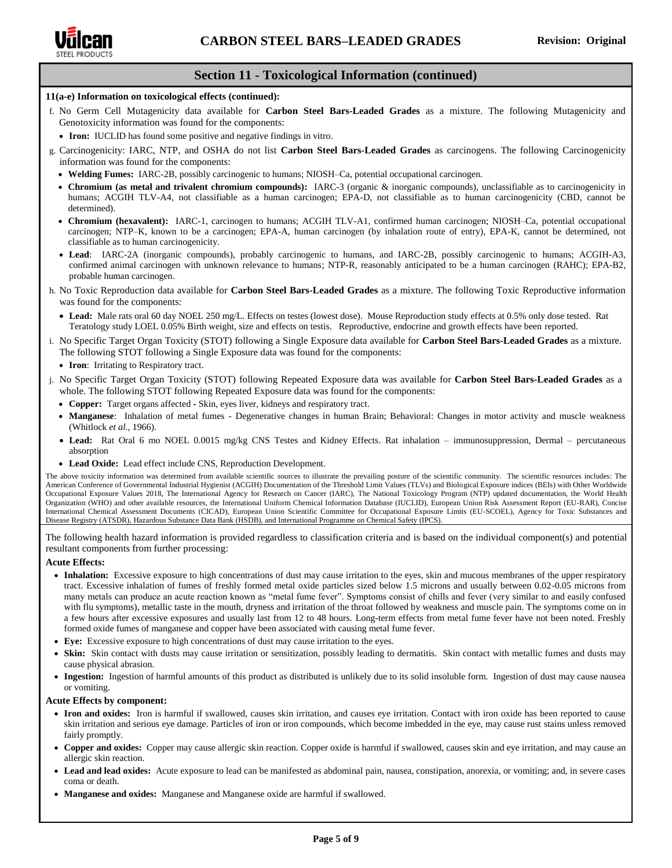

# **Section 11 - Toxicological Information (continued)**

#### **11(a-e) Information on toxicological effects (continued):**

- f. No Germ Cell Mutagenicity data available for **Carbon Steel Bars-Leaded Grades** as a mixture. The following Mutagenicity and Genotoxicity information was found for the components:
	- **Iron:** IUCLID has found some positive and negative findings in vitro.
- g. Carcinogenicity: IARC, NTP, and OSHA do not list **Carbon Steel Bars-Leaded Grades** as carcinogens. The following Carcinogenicity information was found for the components:
	- **Welding Fumes:** IARC-2B, possibly carcinogenic to humans; NIOSH–Ca, potential occupational carcinogen.
	- **Chromium (as metal and trivalent chromium compounds):** IARC-3 (organic & inorganic compounds), unclassifiable as to carcinogenicity in humans; ACGIH TLV-A4, not classifiable as a human carcinogen; EPA-D, not classifiable as to human carcinogenicity (CBD, cannot be determined).
	- **Chromium (hexavalent):** IARC-1, carcinogen to humans; ACGIH TLV-A1, confirmed human carcinogen; NIOSH–Ca, potential occupational carcinogen; NTP–K, known to be a carcinogen; EPA-A, human carcinogen (by inhalation route of entry), EPA-K, cannot be determined, not classifiable as to human carcinogenicity.
	- **Lead**: IARC-2A (inorganic compounds), probably carcinogenic to humans, and IARC-2B, possibly carcinogenic to humans; ACGIH-A3, confirmed animal carcinogen with unknown relevance to humans; NTP-R, reasonably anticipated to be a human carcinogen (RAHC); EPA-B2, probable human carcinogen.
- h. No Toxic Reproduction data available for **Carbon Steel Bars-Leaded Grades** as a mixture. The following Toxic Reproductive information was found for the components:
	- **Lead:** Male rats oral 60 day NOEL 250 mg/L. Effects on testes (lowest dose). Mouse Reproduction study effects at 0.5% only dose tested. Rat Teratology study LOEL 0.05% Birth weight, size and effects on testis. Reproductive, endocrine and growth effects have been reported.
- i. No Specific Target Organ Toxicity (STOT) following a Single Exposure data available for **Carbon Steel Bars-Leaded Grades** as a mixture. The following STOT following a Single Exposure data was found for the components:
	- **Iron**: Irritating to Respiratory tract.
- j. No Specific Target Organ Toxicity (STOT) following Repeated Exposure data was available for **Carbon Steel Bars-Leaded Grades** as a whole. The following STOT following Repeated Exposure data was found for the components:
	- **Copper:** Target organs affected **-** Skin, eyes liver, kidneys and respiratory tract.
	- **Manganese**: Inhalation of metal fumes Degenerative changes in human Brain; Behavioral: Changes in motor activity and muscle weakness (Whitlock *et al.,* 1966).
	- **Lead:** Rat Oral 6 mo NOEL 0.0015 mg/kg CNS Testes and Kidney Effects. Rat inhalation immunosuppression, Dermal percutaneous absorption
	- **Lead Oxide:** Lead effect include CNS, Reproduction Development.

The above toxicity information was determined from available scientific sources to illustrate the prevailing posture of the scientific community. The scientific resources includes: The American Conference of Governmental Industrial Hygienist (ACGIH) Documentation of the Threshold Limit Values (TLVs) and Biological Exposure indices (BEIs) with Other Worldwide Occupational Exposure Values 2018, The International Agency for Research on Cancer (IARC), The National Toxicology Program (NTP) updated documentation, the World Health Organization (WHO) and other available resources, the International Uniform Chemical Information Database (IUCLID), European Union Risk Assessment Report (EU-RAR), Concise International Chemical Assessment Documents (CICAD), European Union Scientific Committee for Occupational Exposure Limits (EU-SCOEL), Agency for Toxic Substances and Disease Registry (ATSDR), Hazardous Substance Data Bank (HSDB), and International Programme on Chemical Safety (IPCS).

The following health hazard information is provided regardless to classification criteria and is based on the individual component(s) and potential resultant components from further processing:

#### **Acute Effects:**

- Inhalation: Excessive exposure to high concentrations of dust may cause irritation to the eyes, skin and mucous membranes of the upper respiratory tract. Excessive inhalation of fumes of freshly formed metal oxide particles sized below 1.5 microns and usually between 0.02-0.05 microns from many metals can produce an acute reaction known as "metal fume fever". Symptoms consist of chills and fever (very similar to and easily confused with flu symptoms), metallic taste in the mouth, dryness and irritation of the throat followed by weakness and muscle pain. The symptoms come on in a few hours after excessive exposures and usually last from 12 to 48 hours. Long-term effects from metal fume fever have not been noted. Freshly formed oxide fumes of manganese and copper have been associated with causing metal fume fever.
- **Eye:** Excessive exposure to high concentrations of dust may cause irritation to the eyes.
- **Skin:** Skin contact with dusts may cause irritation or sensitization, possibly leading to dermatitis. Skin contact with metallic fumes and dusts may cause physical abrasion.
- **Ingestion:** Ingestion of harmful amounts of this product as distributed is unlikely due to its solid insoluble form. Ingestion of dust may cause nausea or vomiting.

#### **Acute Effects by component:**

- **Iron and oxides:** Iron is harmful if swallowed, causes skin irritation, and causes eye irritation. Contact with iron oxide has been reported to cause skin irritation and serious eye damage. Particles of iron or iron compounds, which become imbedded in the eye, may cause rust stains unless removed fairly promptly.
- **Copper and oxides:** Copper may cause allergic skin reaction. Copper oxide is harmful if swallowed, causes skin and eye irritation, and may cause an allergic skin reaction.
- **Lead and lead oxides:** Acute exposure to lead can be manifested as abdominal pain, nausea, constipation, anorexia, or vomiting; and, in severe cases coma or death.
- **Manganese and oxides:** Manganese and Manganese oxide are harmful if swallowed.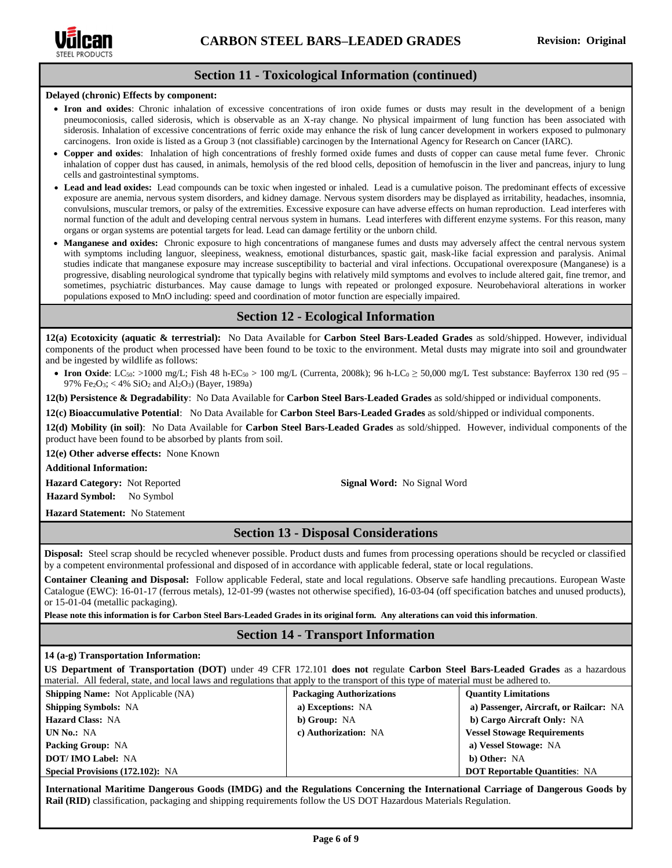

#### **Section 11 - Toxicological Information (continued)**

#### **Delayed (chronic) Effects by component:**

- **Iron and oxides**: Chronic inhalation of excessive concentrations of iron oxide fumes or dusts may result in the development of a benign pneumoconiosis, called siderosis, which is observable as an X-ray change. No physical impairment of lung function has been associated with siderosis. Inhalation of excessive concentrations of ferric oxide may enhance the risk of lung cancer development in workers exposed to pulmonary carcinogens. Iron oxide is listed as a Group 3 (not classifiable) carcinogen by the International Agency for Research on Cancer (IARC).
- **Copper and oxides**: Inhalation of high concentrations of freshly formed oxide fumes and dusts of copper can cause metal fume fever. Chronic inhalation of copper dust has caused, in animals, hemolysis of the red blood cells, deposition of hemofuscin in the liver and pancreas, injury to lung cells and gastrointestinal symptoms.
- **Lead and lead oxides:** Lead compounds can be toxic when ingested or inhaled. Lead is a cumulative poison. The predominant effects of excessive exposure are anemia, nervous system disorders, and kidney damage. Nervous system disorders may be displayed as irritability, headaches, insomnia, convulsions, muscular tremors, or palsy of the extremities. Excessive exposure can have adverse effects on human reproduction. Lead interferes with normal function of the adult and developing central nervous system in humans. Lead interferes with different enzyme systems. For this reason, many organs or organ systems are potential targets for lead. Lead can damage fertility or the unborn child.
- **Manganese and oxides:** Chronic exposure to high concentrations of manganese fumes and dusts may adversely affect the central nervous system with symptoms including languor, sleepiness, weakness, emotional disturbances, spastic gait, mask-like facial expression and paralysis. Animal studies indicate that manganese exposure may increase susceptibility to bacterial and viral infections. Occupational overexposure (Manganese) is a progressive, disabling neurological syndrome that typically begins with relatively mild symptoms and evolves to include altered gait, fine tremor, and sometimes, psychiatric disturbances. May cause damage to lungs with repeated or prolonged exposure. Neurobehavioral alterations in worker populations exposed to MnO including: speed and coordination of motor function are especially impaired.

# **Section 12 - Ecological Information**

**12(a) Ecotoxicity (aquatic & terrestrial):** No Data Available for **Carbon Steel Bars-Leaded Grades** as sold/shipped. However, individual components of the product when processed have been found to be toxic to the environment. Metal dusts may migrate into soil and groundwater and be ingested by wildlife as follows:

• **Iron Oxide**: LC<sub>50</sub>: >1000 mg/L; Fish 48 h-EC<sub>50</sub> > 100 mg/L (Currenta, 2008k); 96 h-LC<sub>0</sub> ≥ 50,000 mg/L Test substance: Bayferrox 130 red (95 – 97% Fe2O3; < 4% SiO<sup>2</sup> and Al2O3) (Bayer, 1989a)

**12(b) Persistence & Degradability**: No Data Available for **Carbon Steel Bars-Leaded Grades** as sold/shipped or individual components.

**12(c) Bioaccumulative Potential**: No Data Available for **Carbon Steel Bars-Leaded Grades** as sold/shipped or individual components.

**12(d) Mobility (in soil)**: No Data Available for **Carbon Steel Bars-Leaded Grades** as sold/shipped. However, individual components of the product have been found to be absorbed by plants from soil.

**12(e) Other adverse effects:** None Known

**Additional Information:**

**Hazard Category:** Not Reported **Signal Word:** No Signal Word **Hazard Symbol:** No Symbol

**Hazard Statement:** No Statement

# **Section 13 - Disposal Considerations**

**Disposal:** Steel scrap should be recycled whenever possible. Product dusts and fumes from processing operations should be recycled or classified by a competent environmental professional and disposed of in accordance with applicable federal, state or local regulations.

**Container Cleaning and Disposal:** Follow applicable Federal, state and local regulations. Observe safe handling precautions. European Waste Catalogue (EWC): 16-01-17 (ferrous metals), 12-01-99 (wastes not otherwise specified), 16-03-04 (off specification batches and unused products), or 15-01-04 (metallic packaging).

**Please note this information is for Carbon Steel Bars-Leaded Grades in its original form. Any alterations can void this information**.

# **Section 14 - Transport Information**

#### **14 (a-g) Transportation Information:**

**US Department of Transportation (DOT)** under 49 CFR 172.101 **does not** regulate **Carbon Steel Bars-Leaded Grades** as a hazardous material. All federal, state, and local laws and regulations that apply to the transport of this type of material must be adhered to.

| <b>Shipping Name:</b> Not Applicable (NA) | <b>Packaging Authorizations</b> | <b>Quantity Limitations</b>            |
|-------------------------------------------|---------------------------------|----------------------------------------|
| <b>Shipping Symbols: NA</b>               | a) Exceptions: NA               | a) Passenger, Aircraft, or Railcar: NA |
| <b>Hazard Class: NA</b>                   | b) Group: NA                    | b) Cargo Aircraft Only: NA             |
| UN No.: NA                                | c) Authorization: NA            | <b>Vessel Stowage Requirements</b>     |
| <b>Packing Group: NA</b>                  |                                 | a) Vessel Stowage: NA                  |
| <b>DOT/IMO Label: NA</b>                  |                                 | b) Other: NA                           |
| <b>Special Provisions (172.102): NA</b>   |                                 | <b>DOT Reportable Quantities: NA</b>   |

**International Maritime Dangerous Goods (IMDG) and the Regulations Concerning the International Carriage of Dangerous Goods by Rail (RID)** classification, packaging and shipping requirements follow the US DOT Hazardous Materials Regulation.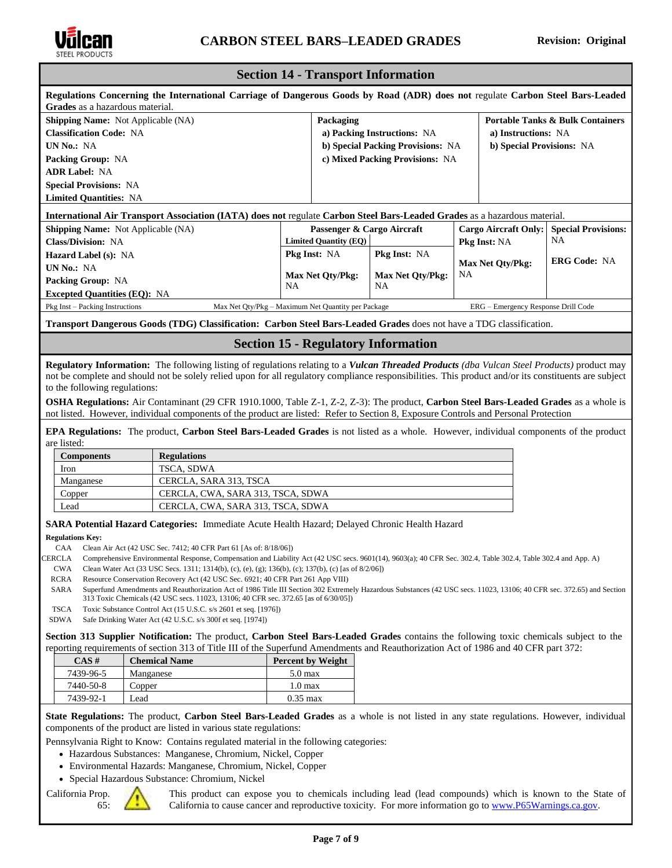

# **Section 14 - Transport Information**

| Regulations Concerning the International Carriage of Dangerous Goods by Road (ADR) does not regulate Carbon Steel Bars-Leaded<br>Grades as a hazardous material. |           |                              |                                   |                     |                                             |                            |
|------------------------------------------------------------------------------------------------------------------------------------------------------------------|-----------|------------------------------|-----------------------------------|---------------------|---------------------------------------------|----------------------------|
| <b>Shipping Name:</b> Not Applicable (NA)                                                                                                                        |           | Packaging                    |                                   |                     | <b>Portable Tanks &amp; Bulk Containers</b> |                            |
| <b>Classification Code: NA</b>                                                                                                                                   |           |                              | a) Packing Instructions: NA       |                     | a) Instructions: NA                         |                            |
| UN No.: NA                                                                                                                                                       |           |                              | b) Special Packing Provisions: NA |                     | b) Special Provisions: NA                   |                            |
| <b>Packing Group: NA</b>                                                                                                                                         |           |                              | c) Mixed Packing Provisions: NA   |                     |                                             |                            |
| <b>ADR Label: NA</b>                                                                                                                                             |           |                              |                                   |                     |                                             |                            |
| <b>Special Provisions: NA</b>                                                                                                                                    |           |                              |                                   |                     |                                             |                            |
| <b>Limited Quantities: NA</b>                                                                                                                                    |           |                              |                                   |                     |                                             |                            |
| <b>International Air Transport Association (IATA) does not regulate Carbon Steel Bars-Leaded Grades as a hazardous material.</b>                                 |           |                              |                                   |                     |                                             |                            |
| <b>Shipping Name:</b> Not Applicable (NA)                                                                                                                        |           | Passenger & Cargo Aircraft   |                                   |                     | Cargo Aircraft Only:                        | <b>Special Provisions:</b> |
| <b>Class/Division: NA</b>                                                                                                                                        |           | <b>Limited Quantity (EQ)</b> |                                   | <b>Pkg Inst: NA</b> |                                             | NA                         |
| <b>Hazard Label (s): NA</b>                                                                                                                                      |           | <b>Pkg Inst: NA</b>          | <b>Pkg Inst: NA</b>               |                     |                                             |                            |
| <b>UN No.: NA</b>                                                                                                                                                |           |                              |                                   |                     | <b>Max Net Oty/Pkg:</b>                     | <b>ERG Code: NA</b>        |
| <b>Packing Group: NA</b>                                                                                                                                         |           | <b>Max Net Qty/Pkg:</b>      | Max Net Qty/Pkg:<br><b>NA</b>     | <b>NA</b>           |                                             |                            |
| <b>Excepted Quantities (EQ): NA</b>                                                                                                                              | <b>NA</b> |                              |                                   |                     |                                             |                            |
| Pkg Inst – Packing Instructions<br>Max Net Oty/Pkg – Maximum Net Quantity per Package                                                                            |           |                              |                                   |                     | ERG – Emergency Response Drill Code         |                            |
|                                                                                                                                                                  |           |                              |                                   |                     |                                             |                            |

**Transport Dangerous Goods (TDG) Classification: Carbon Steel Bars-Leaded Grades** does not have a TDG classification.

#### **Section 15 - Regulatory Information**

**Regulatory Information:** The following listing of regulations relating to a *Vulcan Threaded Products (dba Vulcan Steel Products)* product may not be complete and should not be solely relied upon for all regulatory compliance responsibilities. This product and/or its constituents are subject to the following regulations:

**OSHA Regulations:** Air Contaminant (29 CFR 1910.1000, Table Z-1, Z-2, Z-3): The product, **Carbon Steel Bars-Leaded Grades** as a whole is not listed. However, individual components of the product are listed: Refer to Section 8, Exposure Controls and Personal Protection

**EPA Regulations:** The product, **Carbon Steel Bars-Leaded Grades** is not listed as a whole. However, individual components of the product are listed:

| <b>Components</b> | <b>Regulations</b>                |
|-------------------|-----------------------------------|
| Iron              | TSCA, SDWA                        |
| Manganese         | CERCLA, SARA 313, TSCA            |
| Copper            | CERCLA, CWA, SARA 313, TSCA, SDWA |
| Lead              | CERCLA, CWA, SARA 313, TSCA, SDWA |

**SARA Potential Hazard Categories:** Immediate Acute Health Hazard; Delayed Chronic Health Hazard

**Regulations Key:**

CAA Clean Air Act (42 USC Sec. 7412; 40 CFR Part 61 [As of: 8/18/06])

CERCLA Comprehensive Environmental Response, Compensation and Liability Act (42 USC secs. 9601(14), 9603(a); 40 CFR Sec. 302.4, Table 302.4, Table 302.4 and App. A)

CWA Clean Water Act (33 USC Secs. 1311; 1314(b), (c), (e), (g); 136(b), (c); 137(b), (c) [as of 8/2/06])

RCRA Resource Conservation Recovery Act (42 USC Sec. 6921; 40 CFR Part 261 App VIII)

SARA Superfund Amendments and Reauthorization Act of 1986 Title III Section 302 Extremely Hazardous Substances (42 USC secs. 11023, 13106; 40 CFR sec. 372.65) and Section 313 Toxic Chemicals (42 USC secs. 11023, 13106; 40 CFR sec. 372.65 [as of 6/30/05])

TSCA Toxic Substance Control Act (15 U.S.C. s/s 2601 et seq. [1976])

SDWA Safe Drinking Water Act (42 U.S.C. s/s 300f et seq. [1974])

**Section 313 Supplier Notification:** The product, **Carbon Steel Bars-Leaded Grades** contains the following toxic chemicals subject to the reporting requirements of section 313 of Title III of the Superfund Amendments and Reauthorization Act of 1986 and 40 CFR part 372:

| $CAS \#$  | <b>Chemical Name</b> | <b>Percent by Weight</b> |  |
|-----------|----------------------|--------------------------|--|
| 7439-96-5 | Manganese            | $5.0$ max                |  |
| 7440-50-8 | Copper               | $1.0 \text{ max}$        |  |
| 7439-92-1 | Lead                 | $0.35 \text{ max}$       |  |

**State Regulations:** The product, **Carbon Steel Bars-Leaded Grades** as a whole is not listed in any state regulations. However, individual components of the product are listed in various state regulations:

Pennsylvania Right to Know: Contains regulated material in the following categories:

- Hazardous Substances: Manganese, Chromium, Nickel, Copper
- Environmental Hazards: Manganese, Chromium, Nickel, Copper
- Special Hazardous Substance: Chromium, Nickel

California Prop. 65:



This product can expose you to chemicals including lead (lead compounds) which is known to the State of California to cause cancer and reproductive toxicity. For more information go to [www.P65Warnings.ca.gov.](http://www.p65warnings.ca.gov/)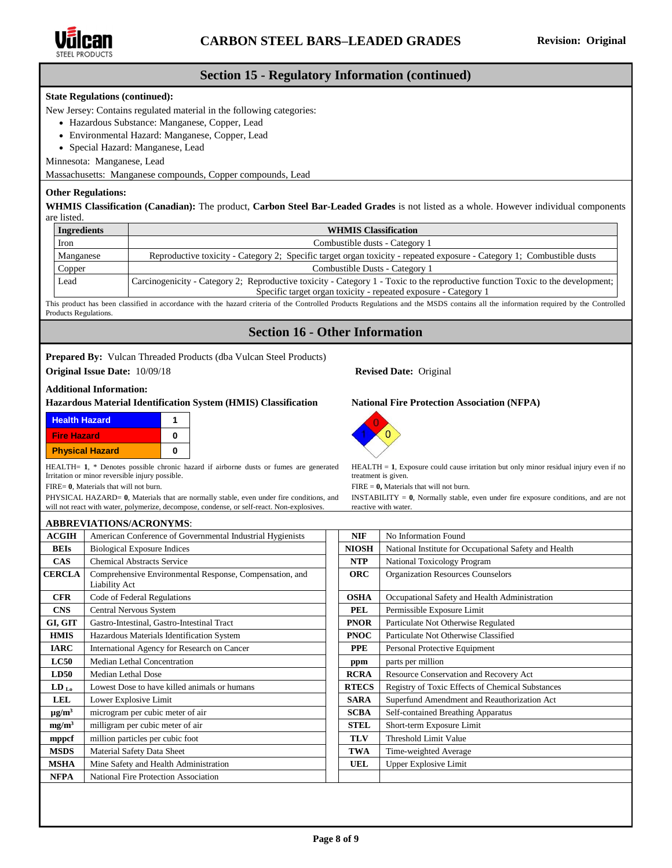

# **Section 15 - Regulatory Information (continued)**

#### **State Regulations (continued):**

New Jersey: Contains regulated material in the following categories:

- Hazardous Substance: Manganese, Copper, Lead
- Environmental Hazard: Manganese, Copper, Lead
- Special Hazard: Manganese, Lead

Minnesota: Manganese, Lead

Massachusetts: Manganese compounds, Copper compounds, Lead

#### **Other Regulations:**

**WHMIS Classification (Canadian):** The product, **Carbon Steel Bar-Leaded Grades** is not listed as a whole. However individual components are listed.

| <b>Ingredients</b> | <b>WHMIS Classification</b>                                                                                                                                                                        |  |  |  |
|--------------------|----------------------------------------------------------------------------------------------------------------------------------------------------------------------------------------------------|--|--|--|
| Iron               | Combustible dusts - Category 1                                                                                                                                                                     |  |  |  |
| Manganese          | Reproductive toxicity - Category 2; Specific target organ toxicity - repeated exposure - Category 1; Combustible dusts                                                                             |  |  |  |
| Copper             | Combustible Dusts - Category 1                                                                                                                                                                     |  |  |  |
| Lead               | Carcinogenicity - Category 2; Reproductive toxicity - Category 1 - Toxic to the reproductive function Toxic to the development;<br>Specific target organ toxicity - repeated exposure - Category 1 |  |  |  |

This product has been classified in accordance with the hazard criteria of the Controlled Products Regulations and the MSDS contains all the information required by the Controlled Products Regulations.

# **Section 16 - Other Information**

#### **Prepared By:** Vulcan Threaded Products (dba Vulcan Steel Products)

**Original Issue Date:** 10/09/18 **Revised Date:** Original

#### **Additional Information:**

#### **Hazardous Material Identification System (HMIS) Classification National Fire Protection Association (NFPA)**

| <b>Health Hazard</b>   |   |
|------------------------|---|
| <b>Fire Hazard</b>     | n |
| <b>Physical Hazard</b> | n |

HEALTH= 1, \* Denotes possible chronic hazard if airborne dusts or fumes are generated Irritation or minor reversible injury possible.

FIRE= **0**, Materials that will not burn.

PHYSICAL HAZARD= **0**, Materials that are normally stable, even under fire conditions, and will not react with water[, polymerize,](http://www.ilpi.com/msds/ref/polymer.html) decompose, condense, or self-react. No[n-explosives.](http://www.ilpi.com/msds/ref/explosive.html)



 $HEALTH = 1$ , Exposure could caus[e irritation](http://www.ilpi.com/msds/ref/irritant.html) but only minor residual injury even if no treatment is given.

FIRE = **0,** Materials that will not burn.

INSTABILITY = **0**, Normally stable, even under fire exposure conditions, and are not reactive with water.

|                        | <b>ABBREVIATIONS/ACRONYMS:</b>                                           |              |                                                       |
|------------------------|--------------------------------------------------------------------------|--------------|-------------------------------------------------------|
| <b>ACGIH</b>           | American Conference of Governmental Industrial Hygienists                | <b>NIF</b>   | No Information Found                                  |
| <b>BEIs</b>            | <b>Biological Exposure Indices</b>                                       | <b>NIOSH</b> | National Institute for Occupational Safety and Health |
| <b>CAS</b>             | <b>Chemical Abstracts Service</b>                                        | <b>NTP</b>   | National Toxicology Program                           |
| <b>CERCLA</b>          | Comprehensive Environmental Response, Compensation, and<br>Liability Act | <b>ORC</b>   | <b>Organization Resources Counselors</b>              |
| <b>CFR</b>             | Code of Federal Regulations                                              | <b>OSHA</b>  | Occupational Safety and Health Administration         |
| <b>CNS</b>             | Central Nervous System                                                   | PEL          | Permissible Exposure Limit                            |
| GI, GIT                | Gastro-Intestinal, Gastro-Intestinal Tract                               | <b>PNOR</b>  | Particulate Not Otherwise Regulated                   |
| <b>HMIS</b>            | Hazardous Materials Identification System                                | <b>PNOC</b>  | Particulate Not Otherwise Classified                  |
| <b>IARC</b>            | International Agency for Research on Cancer                              | <b>PPE</b>   | Personal Protective Equipment                         |
| LC50                   | Median Lethal Concentration                                              | ppm          | parts per million                                     |
| <b>LD50</b>            | Median Lethal Dose                                                       | <b>RCRA</b>  | Resource Conservation and Recovery Act                |
| $LD_{L0}$              | Lowest Dose to have killed animals or humans                             | <b>RTECS</b> | Registry of Toxic Effects of Chemical Substances      |
| <b>LEL</b>             | Lower Explosive Limit                                                    | <b>SARA</b>  | Superfund Amendment and Reauthorization Act           |
| $\mu$ g/m <sup>3</sup> | microgram per cubic meter of air                                         | <b>SCBA</b>  | Self-contained Breathing Apparatus                    |
| mg/m <sup>3</sup>      | milligram per cubic meter of air                                         | <b>STEL</b>  | Short-term Exposure Limit                             |
| mppcf                  | million particles per cubic foot                                         | <b>TLV</b>   | Threshold Limit Value                                 |
| <b>MSDS</b>            | Material Safety Data Sheet                                               | TWA          | Time-weighted Average                                 |
| <b>MSHA</b>            | Mine Safety and Health Administration                                    | UEL          | <b>Upper Explosive Limit</b>                          |
| <b>NFPA</b>            | National Fire Protection Association                                     |              |                                                       |

**Page 8 of 9**